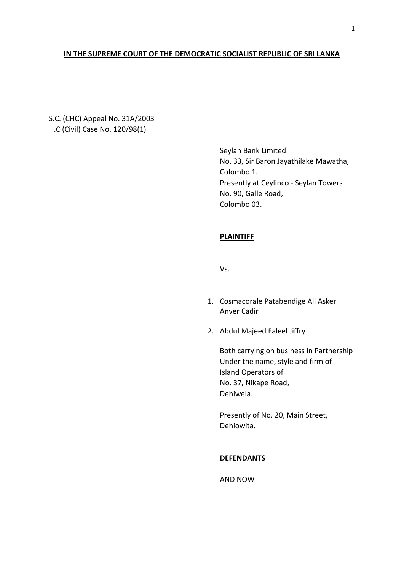## **IN THE SUPREME COURT OF THE DEMOCRATIC SOCIALIST REPUBLIC OF SRI LANKA**

S.C. (CHC) Appeal No. 31A/2003 H.C (Civil) Case No. 120/98(1)

> Seylan Bank Limited No. 33, Sir Baron Jayathilake Mawatha, Colombo 1. Presently at Ceylinco - Seylan Towers No. 90, Galle Road, Colombo 03.

# **PLAINTIFF**

Vs.

- 1. Cosmacorale Patabendige Ali Asker Anver Cadir
- 2. Abdul Majeed Faleel Jiffry

Both carrying on business in Partnership Under the name, style and firm of Island Operators of No. 37, Nikape Road, Dehiwela.

Presently of No. 20, Main Street, Dehiowita.

## **DEFENDANTS**

AND NOW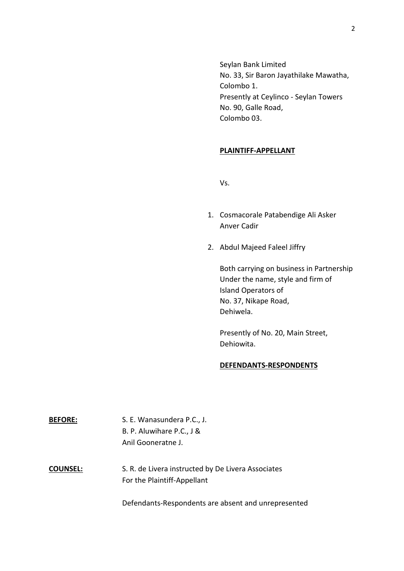Seylan Bank Limited No. 33, Sir Baron Jayathilake Mawatha, Colombo 1. Presently at Ceylinco - Seylan Towers No. 90, Galle Road, Colombo 03.

## **PLAINTIFF-APPELLANT**

Vs.

- 1. Cosmacorale Patabendige Ali Asker Anver Cadir
- 2. Abdul Majeed Faleel Jiffry

Both carrying on business in Partnership Under the name, style and firm of Island Operators of No. 37, Nikape Road, Dehiwela.

Presently of No. 20, Main Street, Dehiowita.

### **DEFENDANTS-RESPONDENTS**

| <b>BEFORE:</b>  | S. E. Wanasundera P.C., J.<br>B. P. Aluwihare P.C., J &<br>Anil Gooneratne J.     |
|-----------------|-----------------------------------------------------------------------------------|
| <b>COUNSEL:</b> | S. R. de Livera instructed by De Livera Associates<br>For the Plaintiff-Appellant |

Defendants-Respondents are absent and unrepresented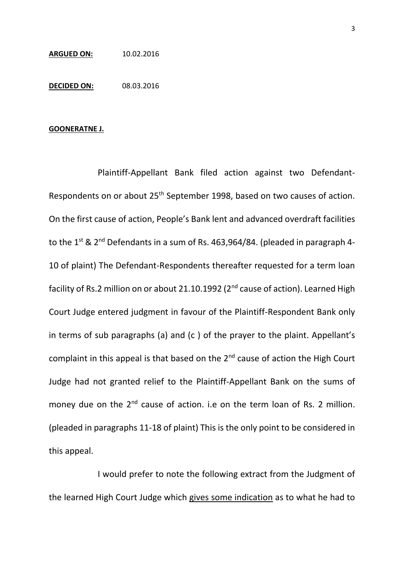#### **ARGUED ON:** 10.02.2016

**DECIDED ON:** 08.03.2016

### **GOONERATNE J.**

Plaintiff-Appellant Bank filed action against two Defendant-Respondents on or about 25th September 1998, based on two causes of action. On the first cause of action, People's Bank lent and advanced overdraft facilities to the 1<sup>st</sup> & 2<sup>nd</sup> Defendants in a sum of Rs. 463,964/84. (pleaded in paragraph 4-10 of plaint) The Defendant-Respondents thereafter requested for a term loan facility of Rs.2 million on or about 21.10.1992 (2<sup>nd</sup> cause of action). Learned High Court Judge entered judgment in favour of the Plaintiff-Respondent Bank only in terms of sub paragraphs (a) and (c ) of the prayer to the plaint. Appellant's complaint in this appeal is that based on the 2<sup>nd</sup> cause of action the High Court Judge had not granted relief to the Plaintiff-Appellant Bank on the sums of money due on the 2<sup>nd</sup> cause of action. i.e on the term loan of Rs. 2 million. (pleaded in paragraphs 11-18 of plaint) This is the only point to be considered in this appeal.

I would prefer to note the following extract from the Judgment of the learned High Court Judge which gives some indication as to what he had to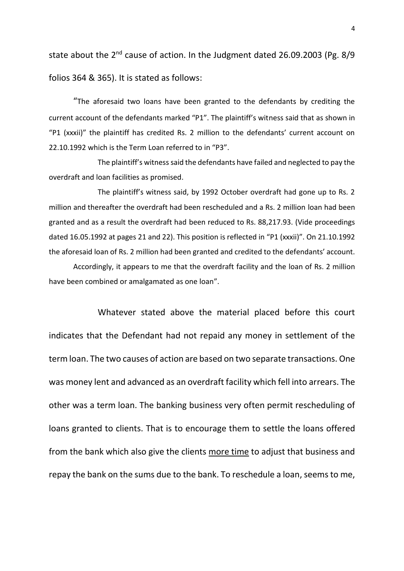state about the 2<sup>nd</sup> cause of action. In the Judgment dated 26.09.2003 (Pg. 8/9 folios 364 & 365). It is stated as follows:

"The aforesaid two loans have been granted to the defendants by crediting the current account of the defendants marked "P1". The plaintiff's witness said that as shown in "P1 (xxxii)" the plaintiff has credited Rs. 2 million to the defendants' current account on 22.10.1992 which is the Term Loan referred to in "P3".

The plaintiff's witness said the defendants have failed and neglected to pay the overdraft and loan facilities as promised.

The plaintiff's witness said, by 1992 October overdraft had gone up to Rs. 2 million and thereafter the overdraft had been rescheduled and a Rs. 2 million loan had been granted and as a result the overdraft had been reduced to Rs. 88,217.93. (Vide proceedings dated 16.05.1992 at pages 21 and 22). This position is reflected in "P1 (xxxii)". On 21.10.1992 the aforesaid loan of Rs. 2 million had been granted and credited to the defendants' account.

Accordingly, it appears to me that the overdraft facility and the loan of Rs. 2 million have been combined or amalgamated as one loan".

Whatever stated above the material placed before this court indicates that the Defendant had not repaid any money in settlement of the term loan. The two causes of action are based on two separate transactions. One was money lent and advanced as an overdraft facility which fell into arrears. The other was a term loan. The banking business very often permit rescheduling of loans granted to clients. That is to encourage them to settle the loans offered from the bank which also give the clients more time to adjust that business and repay the bank on the sums due to the bank. To reschedule a loan, seems to me,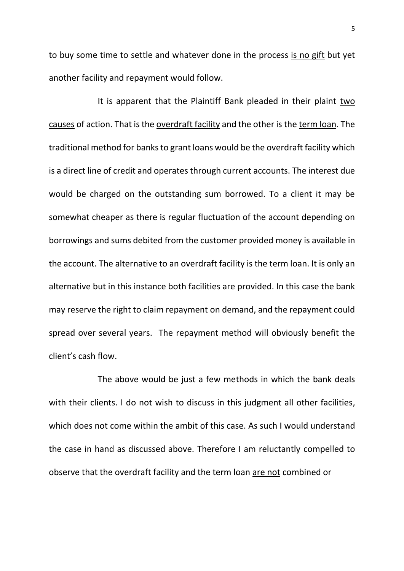to buy some time to settle and whatever done in the process is no gift but yet another facility and repayment would follow.

It is apparent that the Plaintiff Bank pleaded in their plaint two causes of action. That is the overdraft facility and the other is the term loan. The traditional method for banks to grant loans would be the overdraft facility which is a direct line of credit and operates through current accounts. The interest due would be charged on the outstanding sum borrowed. To a client it may be somewhat cheaper as there is regular fluctuation of the account depending on borrowings and sums debited from the customer provided money is available in the account. The alternative to an overdraft facility is the term loan. It is only an alternative but in this instance both facilities are provided. In this case the bank may reserve the right to claim repayment on demand, and the repayment could spread over several years. The repayment method will obviously benefit the client's cash flow.

The above would be just a few methods in which the bank deals with their clients. I do not wish to discuss in this judgment all other facilities, which does not come within the ambit of this case. As such I would understand the case in hand as discussed above. Therefore I am reluctantly compelled to observe that the overdraft facility and the term loan are not combined or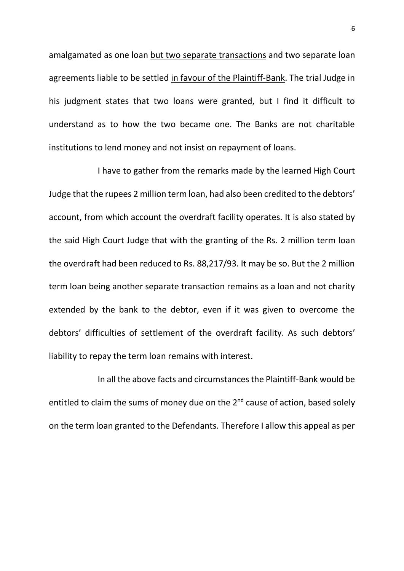amalgamated as one loan but two separate transactions and two separate loan agreements liable to be settled in favour of the Plaintiff-Bank. The trial Judge in his judgment states that two loans were granted, but I find it difficult to understand as to how the two became one. The Banks are not charitable institutions to lend money and not insist on repayment of loans.

I have to gather from the remarks made by the learned High Court Judge that the rupees 2 million term loan, had also been credited to the debtors' account, from which account the overdraft facility operates. It is also stated by the said High Court Judge that with the granting of the Rs. 2 million term loan the overdraft had been reduced to Rs. 88,217/93. It may be so. But the 2 million term loan being another separate transaction remains as a loan and not charity extended by the bank to the debtor, even if it was given to overcome the debtors' difficulties of settlement of the overdraft facility. As such debtors' liability to repay the term loan remains with interest.

In all the above facts and circumstances the Plaintiff-Bank would be entitled to claim the sums of money due on the 2<sup>nd</sup> cause of action, based solely on the term loan granted to the Defendants. Therefore I allow this appeal as per